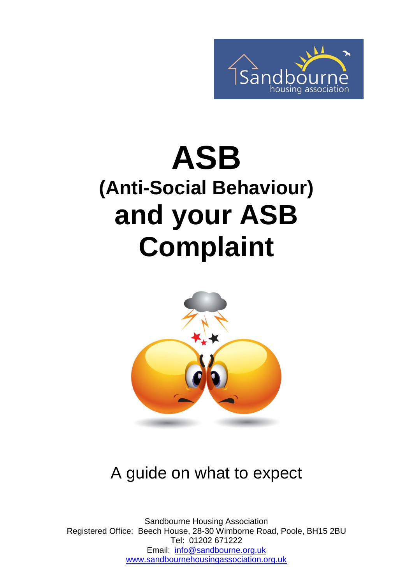

# **ASB (Anti-Social Behaviour) and your ASB Complaint**



#### A guide on what to expect

Sandbourne Housing Association Registered Office: Beech House, 28-30 Wimborne Road, Poole, BH15 2BU Tel: 01202 671222 Email: [info@sandbourne.org.uk](mailto:info@sandbourne.org.uk) [www.sandbournehousingassociation.org.uk](http://www.sandbournehousingassociation.org.uk/)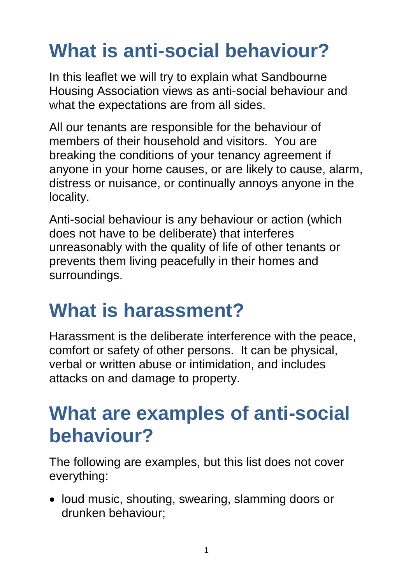# **What is anti-social behaviour?**

In this leaflet we will try to explain what Sandbourne Housing Association views as anti-social behaviour and what the expectations are from all sides.

All our tenants are responsible for the behaviour of members of their household and visitors. You are breaking the conditions of your tenancy agreement if anyone in your home causes, or are likely to cause, alarm, distress or nuisance, or continually annoys anyone in the locality.

Anti-social behaviour is any behaviour or action (which does not have to be deliberate) that interferes unreasonably with the quality of life of other tenants or prevents them living peacefully in their homes and surroundings.

#### **What is harassment?**

Harassment is the deliberate interference with the peace, comfort or safety of other persons. It can be physical, verbal or written abuse or intimidation, and includes attacks on and damage to property.

#### **What are examples of anti-social behaviour?**

The following are examples, but this list does not cover everything:

• loud music, shouting, swearing, slamming doors or drunken behaviour;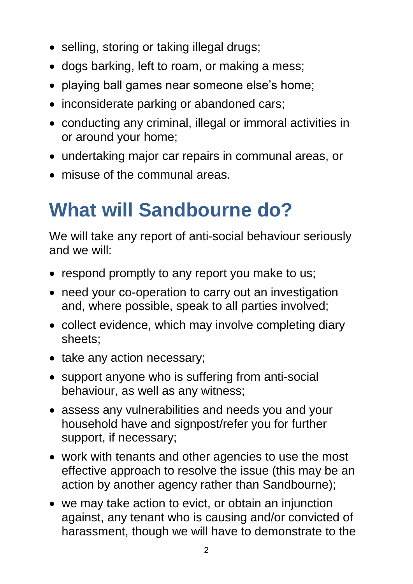- selling, storing or taking illegal drugs;
- dogs barking, left to roam, or making a mess;
- playing ball games near someone else's home;
- inconsiderate parking or abandoned cars;
- conducting any criminal, illegal or immoral activities in or around your home;
- undertaking major car repairs in communal areas, or
- misuse of the communal areas.

#### **What will Sandbourne do?**

We will take any report of anti-social behaviour seriously and we will:

- respond promptly to any report you make to us;
- need your co-operation to carry out an investigation and, where possible, speak to all parties involved;
- collect evidence, which may involve completing diary sheets;
- take any action necessary;
- support anyone who is suffering from anti-social behaviour, as well as any witness;
- assess any vulnerabilities and needs you and your household have and signpost/refer you for further support, if necessary;
- work with tenants and other agencies to use the most effective approach to resolve the issue (this may be an action by another agency rather than Sandbourne);
- we may take action to evict, or obtain an injunction against, any tenant who is causing and/or convicted of harassment, though we will have to demonstrate to the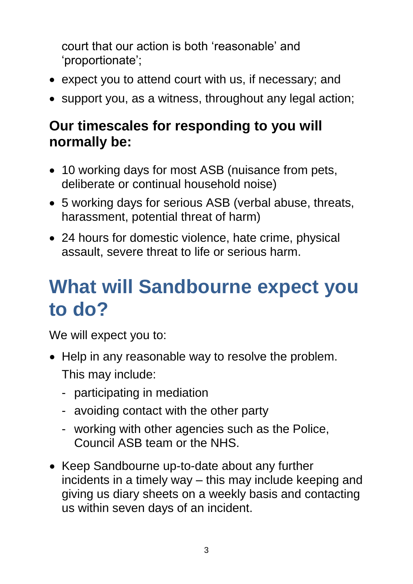court that our action is both 'reasonable' and 'proportionate';

- expect you to attend court with us, if necessary; and
- support you, as a witness, throughout any legal action;

#### **Our timescales for responding to you will normally be:**

- 10 working days for most ASB (nuisance from pets, deliberate or continual household noise)
- 5 working days for serious ASB (verbal abuse, threats, harassment, potential threat of harm)
- 24 hours for domestic violence, hate crime, physical assault, severe threat to life or serious harm.

#### **What will Sandbourne expect you to do?**

We will expect you to:

- Help in any reasonable way to resolve the problem. This may include:
	- participating in mediation
	- avoiding contact with the other party
	- working with other agencies such as the Police, Council ASB team or the NHS.
- Keep Sandbourne up-to-date about any further incidents in a timely way – this may include keeping and giving us diary sheets on a weekly basis and contacting us within seven days of an incident.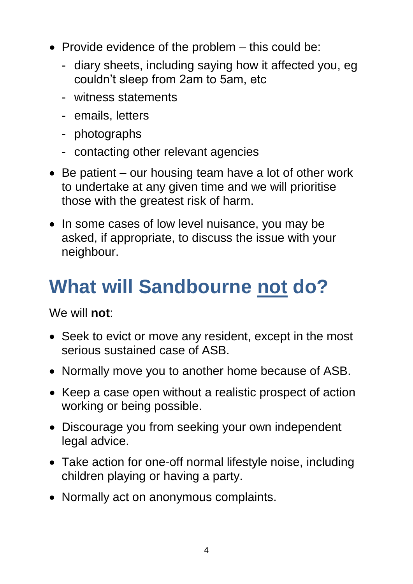- Provide evidence of the problem  $-$  this could be:
	- diary sheets, including saying how it affected you, eg couldn't sleep from 2am to 5am, etc
	- witness statements
	- emails, letters
	- photographs
	- contacting other relevant agencies
- Be patient our housing team have a lot of other work to undertake at any given time and we will prioritise those with the greatest risk of harm.
- In some cases of low level nuisance, you may be asked, if appropriate, to discuss the issue with your neighbour.

# **What will Sandbourne not do?**

We will **not**:

- Seek to evict or move any resident, except in the most serious sustained case of ASB.
- Normally move you to another home because of ASB.
- Keep a case open without a realistic prospect of action working or being possible.
- Discourage you from seeking your own independent legal advice.
- Take action for one-off normal lifestyle noise, including children playing or having a party.
- Normally act on anonymous complaints.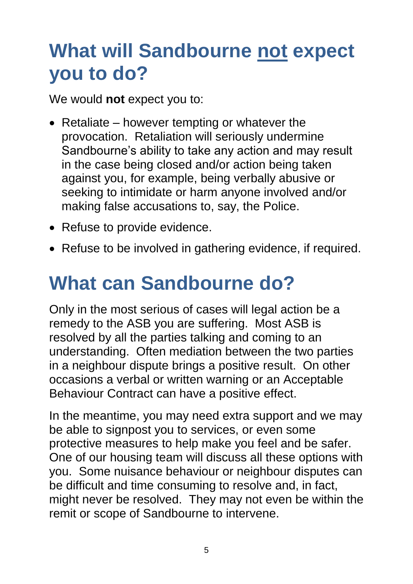#### **What will Sandbourne not expect you to do?**

We would **not** expect you to:

- Retaliate however tempting or whatever the provocation. Retaliation will seriously undermine Sandbourne's ability to take any action and may result in the case being closed and/or action being taken against you, for example, being verbally abusive or seeking to intimidate or harm anyone involved and/or making false accusations to, say, the Police.
- Refuse to provide evidence.
- Refuse to be involved in gathering evidence, if required.

### **What can Sandbourne do?**

Only in the most serious of cases will legal action be a remedy to the ASB you are suffering. Most ASB is resolved by all the parties talking and coming to an understanding. Often mediation between the two parties in a neighbour dispute brings a positive result. On other occasions a verbal or written warning or an Acceptable Behaviour Contract can have a positive effect.

In the meantime, you may need extra support and we may be able to signpost you to services, or even some protective measures to help make you feel and be safer. One of our housing team will discuss all these options with you. Some nuisance behaviour or neighbour disputes can be difficult and time consuming to resolve and, in fact, might never be resolved. They may not even be within the remit or scope of Sandbourne to intervene.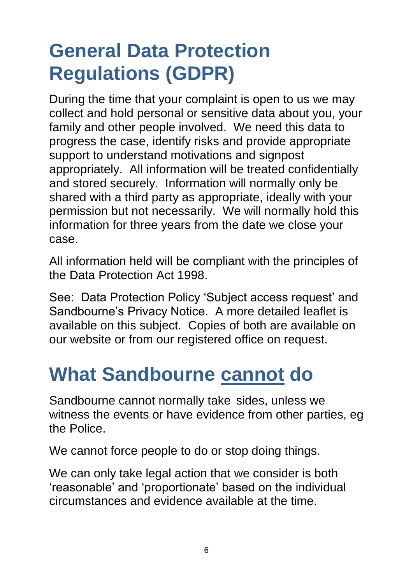# **General Data Protection Regulations (GDPR)**

During the time that your complaint is open to us we may collect and hold personal or sensitive data about you, your family and other people involved. We need this data to progress the case, identify risks and provide appropriate support to understand motivations and signpost appropriately. All information will be treated confidentially and stored securely. Information will normally only be shared with a third party as appropriate, ideally with your permission but not necessarily. We will normally hold this information for three years from the date we close your case.

All information held will be compliant with the principles of the Data Protection Act 1998.

See: Data Protection Policy 'Subject access request' and Sandbourne's Privacy Notice. A more detailed leaflet is available on this subject. Copies of both are available on our website or from our registered office on request.

#### **What Sandbourne cannot do**

Sandbourne cannot normally take sides, unless we witness the events or have evidence from other parties, eg the Police.

We cannot force people to do or stop doing things.

We can only take legal action that we consider is both 'reasonable' and 'proportionate' based on the individual circumstances and evidence available at the time.